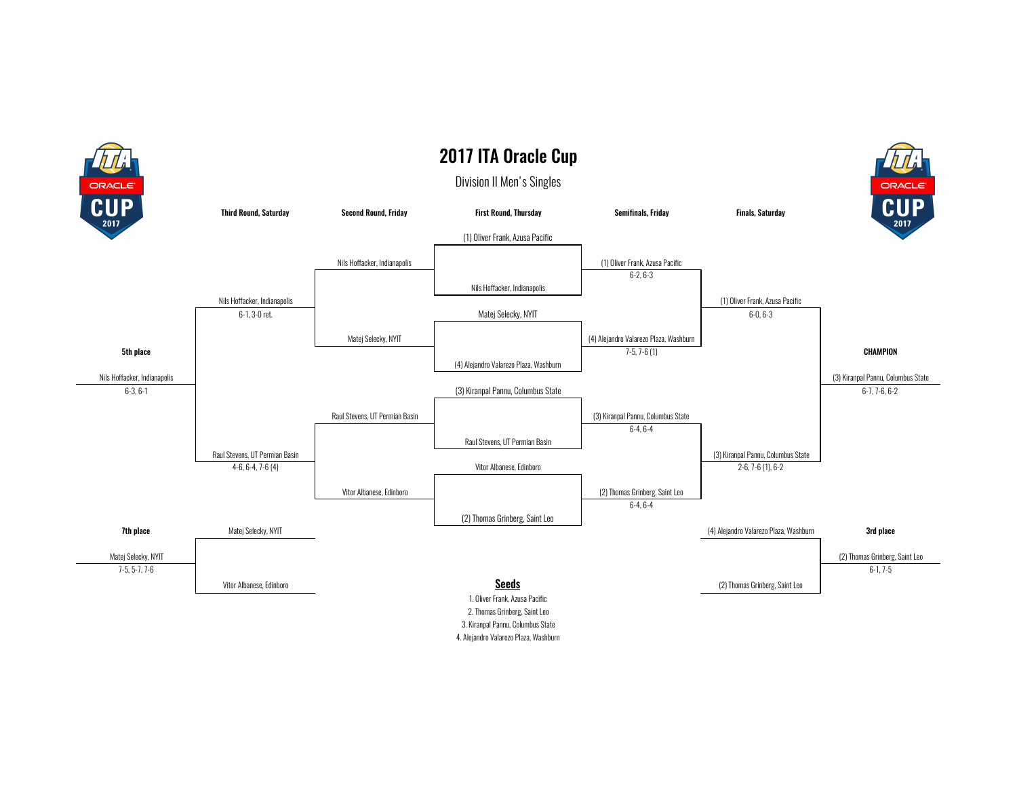